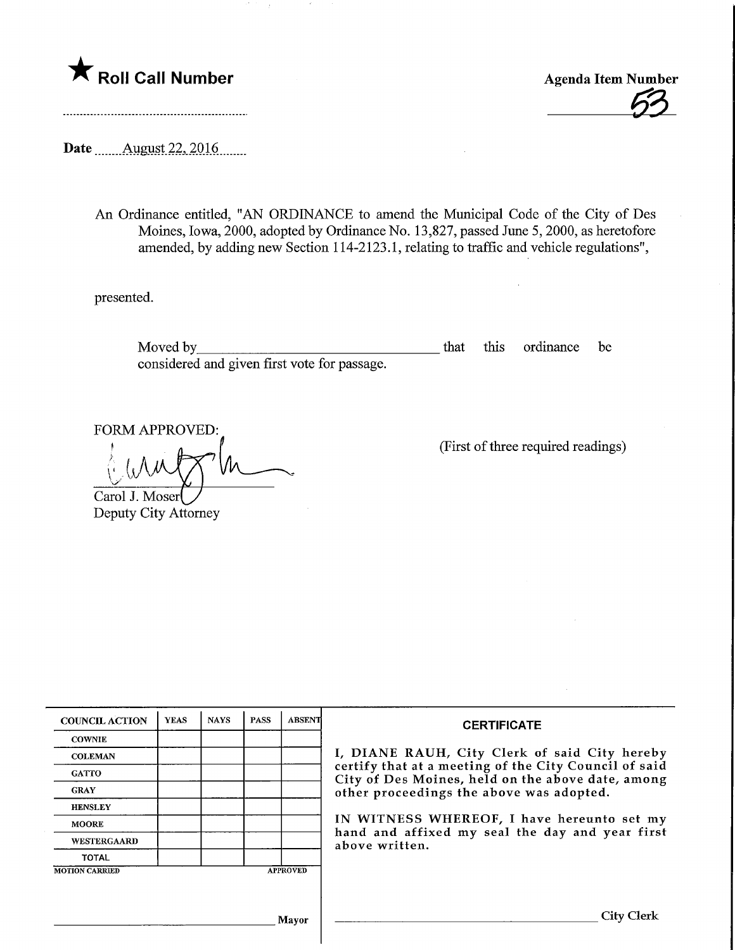



Date ........Aygyst.22,.2016.

An Ordinance entitled, "AN ORDINANCE to amend the Municipal Code of the City of Des Moines, Iowa, 2000, adopted by Ordinance No. 13,827, passed June 5,2000, as heretofore amended, by adding new Section 114-2123.1, relating to traffic and vehicle regulations",

presented.

Moved by that this ordinance be considered and given first vote for passage.

FORM APPROVED:

 $\mathcal{C}(\mathcal{N})$ 

Carol J. Moserl Deputy City Attorney

T

(First of three required readings)

|                | I, DIANE RAUH, City Clerk of said City hereby<br>certify that at a meeting of the City Council of said<br>City of Des Moines, held on the above date, among<br>other proceedings the above was adopted.<br>IN WITNESS WHEREOF, I have hereunto set my<br>hand and affixed my seal the day and year first |
|----------------|----------------------------------------------------------------------------------------------------------------------------------------------------------------------------------------------------------------------------------------------------------------------------------------------------------|
|                |                                                                                                                                                                                                                                                                                                          |
|                |                                                                                                                                                                                                                                                                                                          |
|                |                                                                                                                                                                                                                                                                                                          |
|                |                                                                                                                                                                                                                                                                                                          |
| above written. |                                                                                                                                                                                                                                                                                                          |
|                |                                                                                                                                                                                                                                                                                                          |
|                |                                                                                                                                                                                                                                                                                                          |
|                |                                                                                                                                                                                                                                                                                                          |
|                | <b>City Clerk</b>                                                                                                                                                                                                                                                                                        |
|                | <b>APPROVED</b><br>Mayor                                                                                                                                                                                                                                                                                 |